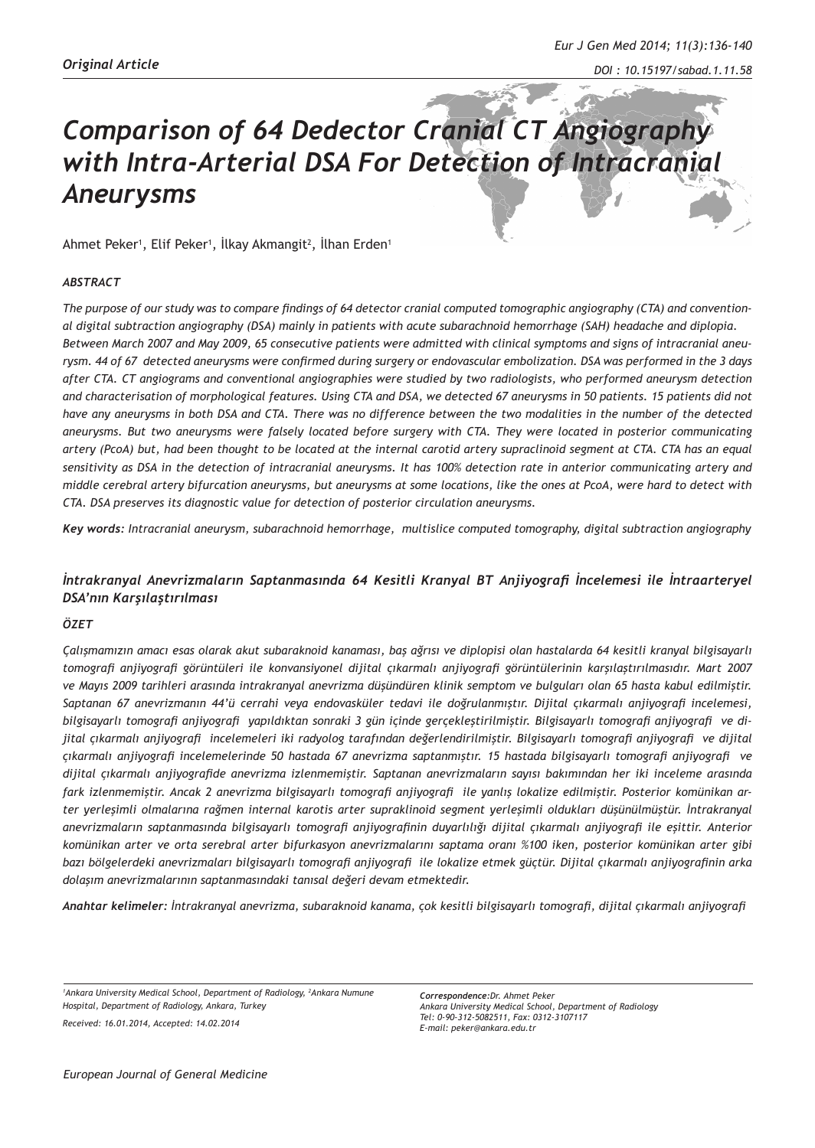# *Comparison of 64 Dedector Cranial CT Angiography with Intra-Arterial DSA For Detection of Intracranial Aneurysms*

Ahmet Peker<sup>1</sup>, Elif Peker<sup>1</sup>, İlkay Akmangit<sup>2</sup>, İlhan Erden<sup>1</sup>

#### *ABSTRACT*

*The purpose of our study was to compare findings of 64 detector cranial computed tomographic angiography (CTA) and conventional digital subtraction angiography (DSA) mainly in patients with acute subarachnoid hemorrhage (SAH) headache and diplopia. Between March 2007 and May 2009, 65 consecutive patients were admitted with clinical symptoms and signs of intracranial aneurysm. 44 of 67 detected aneurysms were confirmed during surgery or endovascular embolization. DSA was performed in the 3 days after CTA. CT angiograms and conventional angiographies were studied by two radiologists, who performed aneurysm detection and characterisation of morphological features. Using CTA and DSA, we detected 67 aneurysms in 50 patients. 15 patients did not have any aneurysms in both DSA and CTA. There was no difference between the two modalities in the number of the detected aneurysms. But two aneurysms were falsely located before surgery with CTA. They were located in posterior communicating artery (PcoA) but, had been thought to be located at the internal carotid artery supraclinoid segment at CTA. CTA has an equal sensitivity as DSA in the detection of intracranial aneurysms. It has 100% detection rate in anterior communicating artery and middle cerebral artery bifurcation aneurysms, but aneurysms at some locations, like the ones at PcoA, were hard to detect with CTA. DSA preserves its diagnostic value for detection of posterior circulation aneurysms.*

*Key words: Intracranial aneurysm, subarachnoid hemorrhage, multislice computed tomography, digital subtraction angiography*

# *İntrakranyal Anevrizmaların Saptanmasında 64 Kesitli Kranyal BT Anjiyografi İncelemesi ile İntraarteryel DSA'nın Karşılaştırılması*

#### *ÖZET*

*Çalışmamızın amacı esas olarak akut subaraknoid kanaması, baş ağrısı ve diplopisi olan hastalarda 64 kesitli kranyal bilgisayarlı tomografi anjiyografi görüntüleri ile konvansiyonel dijital çıkarmalı anjiyografi görüntülerinin karşılaştırılmasıdır. Mart 2007 ve Mayıs 2009 tarihleri arasında intrakranyal anevrizma düşündüren klinik semptom ve bulguları olan 65 hasta kabul edilmiştir. Saptanan 67 anevrizmanın 44'ü cerrahi veya endovasküler tedavi ile doğrulanmıştır. Dijital çıkarmalı anjiyografi incelemesi, bilgisayarlı tomografi anjiyografi yapıldıktan sonraki 3 gün içinde gerçekleştirilmiştir. Bilgisayarlı tomografi anjiyografi ve dijital çıkarmalı anjiyografi incelemeleri iki radyolog tarafından değerlendirilmiştir. Bilgisayarlı tomografi anjiyografi ve dijital çıkarmalı anjiyografi incelemelerinde 50 hastada 67 anevrizma saptanmıştır. 15 hastada bilgisayarlı tomografi anjiyografi ve dijital çıkarmalı anjiyografide anevrizma izlenmemiştir. Saptanan anevrizmaların sayısı bakımından her iki inceleme arasında fark izlenmemiştir. Ancak 2 anevrizma bilgisayarlı tomografi anjiyografi ile yanlış lokalize edilmiştir. Posterior komünikan arter yerleşimli olmalarına rağmen internal karotis arter supraklinoid segment yerleşimli oldukları düşünülmüştür. İntrakranyal anevrizmaların saptanmasında bilgisayarlı tomografi anjiyografinin duyarlılığı dijital çıkarmalı anjiyografi ile eşittir. Anterior komünikan arter ve orta serebral arter bifurkasyon anevrizmalarını saptama oranı %100 iken, posterior komünikan arter gibi bazı bölgelerdeki anevrizmaları bilgisayarlı tomografi anjiyografi ile lokalize etmek güçtür. Dijital çıkarmalı anjiyografinin arka dolaşım anevrizmalarının saptanmasındaki tanısal değeri devam etmektedir.*

*Anahtar kelimeler: İntrakranyal anevrizma, subaraknoid kanama, çok kesitli bilgisayarlı tomografi, dijital çıkarmalı anjiyografi*

<sup>1</sup> Ankara University Medical School, Department of Radiology, <sup>2</sup> Ankara Numune *Hospital, Department of Radiology, Ankara, Turkey Received: 16.01.2014, Accepted: 14.02.2014*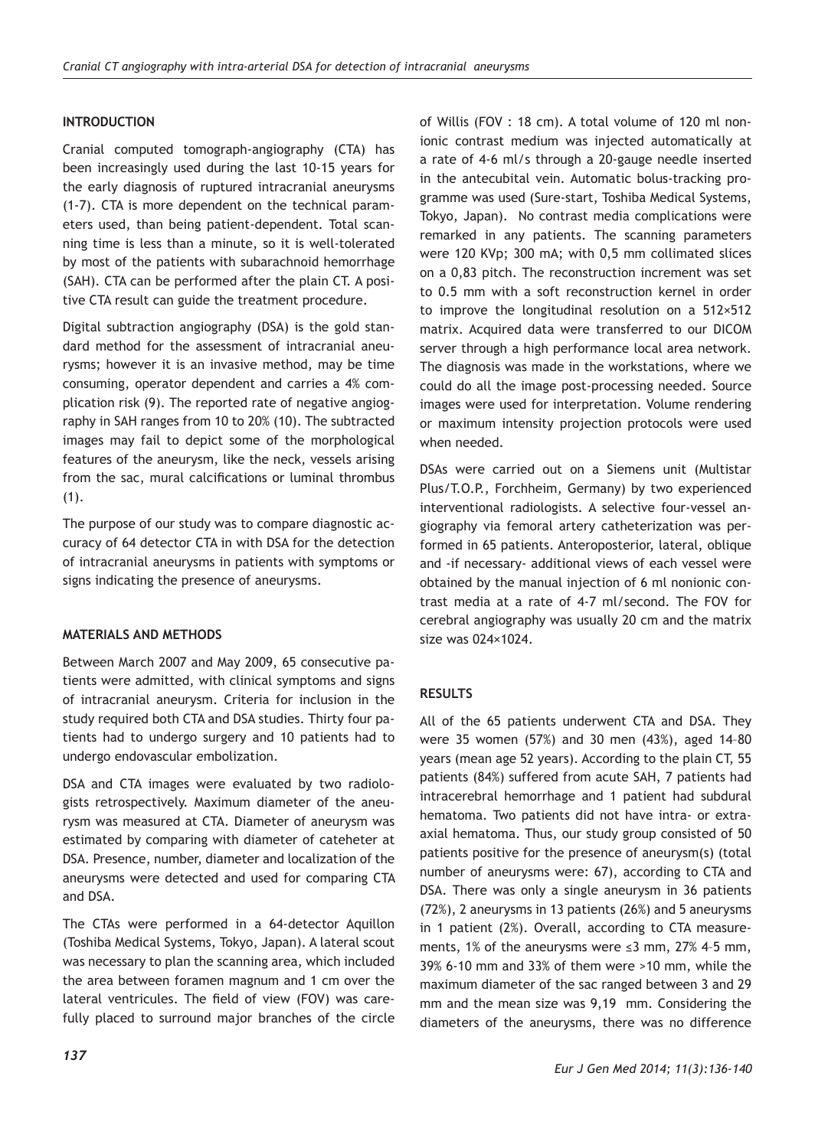# **INTRODUCTION**

Cranial computed tomograph-angiography (CTA) has been increasingly used during the last 10-15 years for the early diagnosis of ruptured intracranial aneurysms (1-7). CTA is more dependent on the technical parameters used, than being patient-dependent. Total scanning time is less than a minute, so it is well-tolerated by most of the patients with subarachnoid hemorrhage (SAH). CTA can be performed after the plain CT. A positive CTA result can guide the treatment procedure.

Digital subtraction angiography (DSA) is the gold standard method for the assessment of intracranial aneurysms; however it is an invasive method, may be time consuming, operator dependent and carries a 4% complication risk (9). The reported rate of negative angiography in SAH ranges from 10 to 20% (10). The subtracted images may fail to depict some of the morphological features of the aneurysm, like the neck, vessels arising from the sac, mural calcifications or luminal thrombus (1).

The purpose of our study was to compare diagnostic accuracy of 64 detector CTA in with DSA for the detection of intracranial aneurysms in patients with symptoms or signs indicating the presence of aneurysms.

## **MATERIALS AND METHODS**

Between March 2007 and May 2009, 65 consecutive patients were admitted, with clinical symptoms and signs of intracranial aneurysm. Criteria for inclusion in the study required both CTA and DSA studies. Thirty four patients had to undergo surgery and 10 patients had to undergo endovascular embolization.

DSA and CTA images were evaluated by two radiologists retrospectively. Maximum diameter of the aneurysm was measured at CTA. Diameter of aneurysm was estimated by comparing with diameter of cateheter at DSA. Presence, number, diameter and localization of the aneurysms were detected and used for comparing CTA and DSA.

The CTAs were performed in a 64-detector Aquillon (Toshiba Medical Systems, Tokyo, Japan). A lateral scout was necessary to plan the scanning area, which included the area between foramen magnum and 1 cm over the lateral ventricules. The field of view (FOV) was carefully placed to surround major branches of the circle

of Willis (FOV : 18 cm). A total volume of 120 ml nonionic contrast medium was injected automatically at a rate of 4-6 ml/s through a 20-gauge needle inserted in the antecubital vein. Automatic bolus-tracking programme was used (Sure-start, Toshiba Medical Systems, Tokyo, Japan). No contrast media complications were remarked in any patients. The scanning parameters were 120 KVp; 300 mA; with 0,5 mm collimated slices on a 0,83 pitch. The reconstruction increment was set to 0.5 mm with a soft reconstruction kernel in order to improve the longitudinal resolution on a 512×512 matrix. Acquired data were transferred to our DICOM server through a high performance local area network. The diagnosis was made in the workstations, where we could do all the image post-processing needed. Source images were used for interpretation. Volume rendering or maximum intensity projection protocols were used when needed.

DSAs were carried out on a Siemens unit (Multistar Plus/T.O.P., Forchheim, Germany) by two experienced interventional radiologists. A selective four-vessel angiography via femoral artery catheterization was performed in 65 patients. Anteroposterior, lateral, oblique and -if necessary- additional views of each vessel were obtained by the manual injection of 6 ml nonionic contrast media at a rate of 4-7 ml/second. The FOV for cerebral angiography was usually 20 cm and the matrix size was 024×1024.

## **RESULTS**

All of the 65 patients underwent CTA and DSA. They were 35 women (57%) and 30 men (43%), aged 14–80 years (mean age 52 years). According to the plain CT, 55 patients (84%) suffered from acute SAH, 7 patients had intracerebral hemorrhage and 1 patient had subdural hematoma. Two patients did not have intra- or extraaxial hematoma. Thus, our study group consisted of 50 patients positive for the presence of aneurysm(s) (total number of aneurysms were: 67), according to CTA and DSA. There was only a single aneurysm in 36 patients (72%), 2 aneurysms in 13 patients (26%) and 5 aneurysms in 1 patient (2%). Overall, according to CTA measurements, 1% of the aneurysms were ≤3 mm, 27% 4–5 mm, 39% 6-10 mm and 33% of them were >10 mm, while the maximum diameter of the sac ranged between 3 and 29 mm and the mean size was 9,19 mm. Considering the diameters of the aneurysms, there was no difference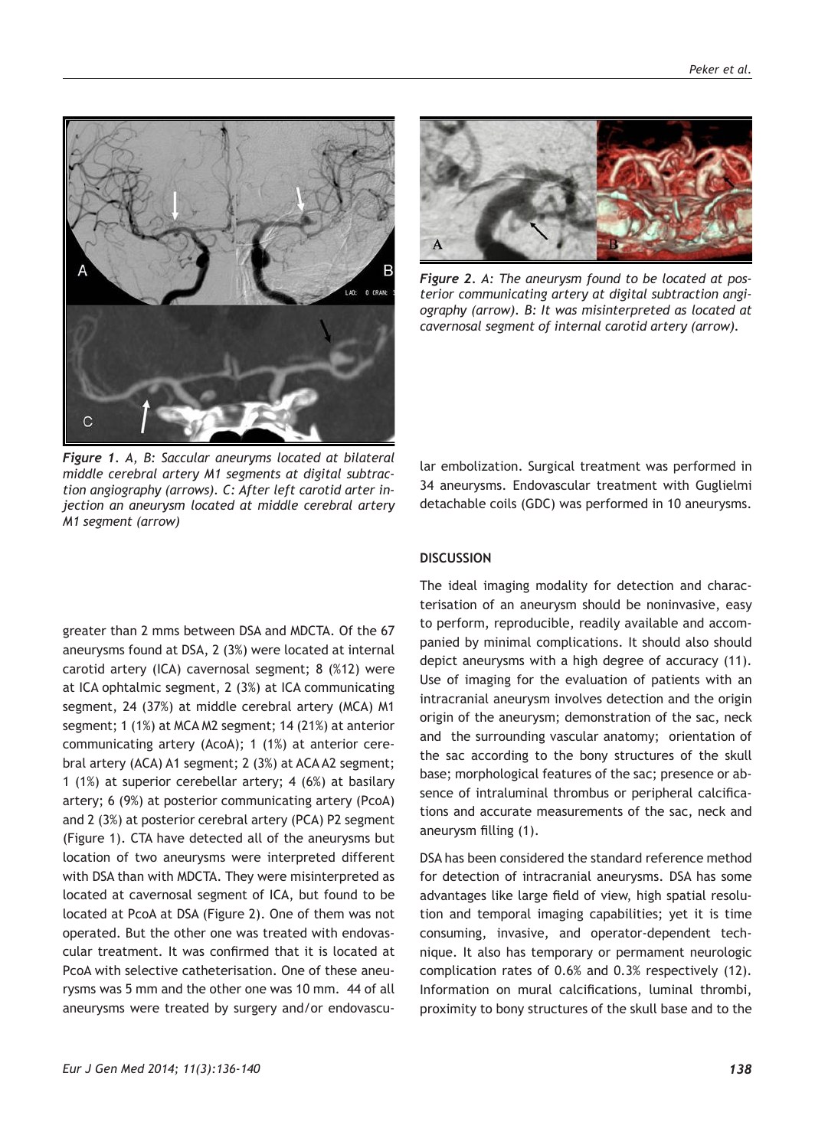*Peker et al.*

*terior communicating artery at digital subtraction angiography (arrow). B: It was misinterpreted as located at cavernosal segment of internal carotid artery (arrow).*

lar embolization. Surgical treatment was performed in 34 aneurysms. Endovascular treatment with Guglielmi detachable coils (GDC) was performed in 10 aneurysms.

greater than 2 mms between DSA and MDCTA. Of the 67 aneurysms found at DSA, 2 (3%) were located at internal carotid artery (ICA) cavernosal segment; 8 (%12) were at ICA ophtalmic segment, 2 (3%) at ICA communicating segment, 24 (37%) at middle cerebral artery (MCA) M1 segment; 1 (1%) at MCA M2 segment; 14 (21%) at anterior communicating artery (AcoA); 1 (1%) at anterior cerebral artery (ACA) A1 segment; 2 (3%) at ACA A2 segment; 1 (1%) at superior cerebellar artery; 4 (6%) at basilary artery; 6 (9%) at posterior communicating artery (PcoA) and 2 (3%) at posterior cerebral artery (PCA) P2 segment (Figure 1). CTA have detected all of the aneurysms but location of two aneurysms were interpreted different with DSA than with MDCTA. They were misinterpreted as located at cavernosal segment of ICA, but found to be located at PcoA at DSA (Figure 2). One of them was not operated. But the other one was treated with endovascular treatment. It was confirmed that it is located at PcoA with selective catheterisation. One of these aneurysms was 5 mm and the other one was 10 mm. 44 of all aneurysms were treated by surgery and/or endovascu-

# **DISCUSSION**

The ideal imaging modality for detection and characterisation of an aneurysm should be noninvasive, easy to perform, reproducible, readily available and accompanied by minimal complications. It should also should depict aneurysms with a high degree of accuracy (11). Use of imaging for the evaluation of patients with an intracranial aneurysm involves detection and the origin origin of the aneurysm; demonstration of the sac, neck and the surrounding vascular anatomy; orientation of the sac according to the bony structures of the skull base; morphological features of the sac; presence or absence of intraluminal thrombus or peripheral calcifications and accurate measurements of the sac, neck and aneurysm filling (1).

DSA has been considered the standard reference method for detection of intracranial aneurysms. DSA has some advantages like large field of view, high spatial resolution and temporal imaging capabilities; yet it is time consuming, invasive, and operator-dependent technique. It also has temporary or permament neurologic complication rates of 0.6% and 0.3% respectively (12). Information on mural calcifications, luminal thrombi, proximity to bony structures of the skull base and to the

*Figure 2. A: The aneurysm found to be located at pos-*



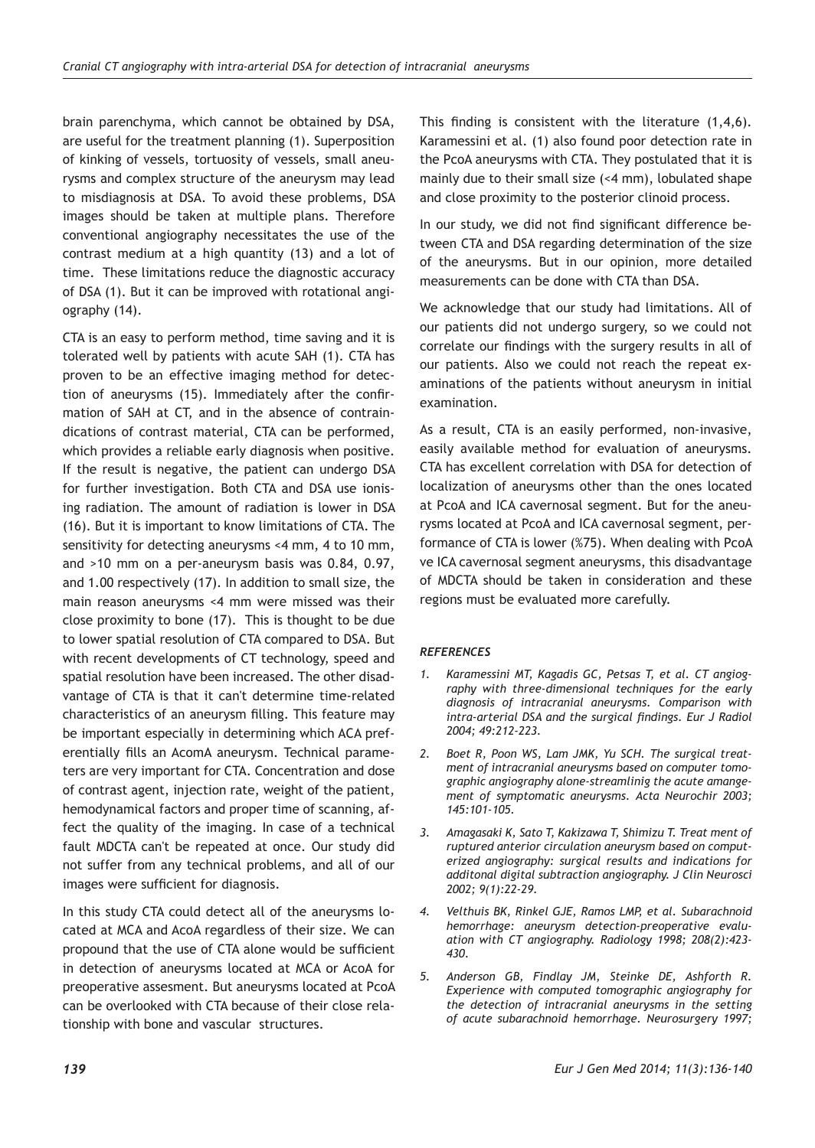brain parenchyma, which cannot be obtained by DSA, are useful for the treatment planning (1). Superposition of kinking of vessels, tortuosity of vessels, small aneurysms and complex structure of the aneurysm may lead to misdiagnosis at DSA. To avoid these problems, DSA images should be taken at multiple plans. Therefore conventional angiography necessitates the use of the contrast medium at a high quantity (13) and a lot of time. These limitations reduce the diagnostic accuracy of DSA (1). But it can be improved with rotational angiography (14).

CTA is an easy to perform method, time saving and it is tolerated well by patients with acute SAH (1). CTA has proven to be an effective imaging method for detection of aneurysms (15). Immediately after the confirmation of SAH at CT, and in the absence of contraindications of contrast material, CTA can be performed, which provides a reliable early diagnosis when positive. If the result is negative, the patient can undergo DSA for further investigation. Both CTA and DSA use ionising radiation. The amount of radiation is lower in DSA (16). But it is important to know limitations of CTA. The sensitivity for detecting aneurysms <4 mm, 4 to 10 mm, and >10 mm on a per-aneurysm basis was 0.84, 0.97, and 1.00 respectively (17). In addition to small size, the main reason aneurysms <4 mm were missed was their close proximity to bone (17). This is thought to be due to lower spatial resolution of CTA compared to DSA. But with recent developments of CT technology, speed and spatial resolution have been increased. The other disadvantage of CTA is that it can't determine time-related characteristics of an aneurysm filling. This feature may be important especially in determining which ACA preferentially fills an AcomA aneurysm. Technical parameters are very important for CTA. Concentration and dose of contrast agent, injection rate, weight of the patient, hemodynamical factors and proper time of scanning, affect the quality of the imaging. In case of a technical fault MDCTA can't be repeated at once. Our study did not suffer from any technical problems, and all of our images were sufficient for diagnosis.

In this study CTA could detect all of the aneurysms located at MCA and AcoA regardless of their size. We can propound that the use of CTA alone would be sufficient in detection of aneurysms located at MCA or AcoA for preoperative assesment. But aneurysms located at PcoA can be overlooked with CTA because of their close relationship with bone and vascular structures.

This finding is consistent with the literature (1,4,6). Karamessini et al. (1) also found poor detection rate in the PcoA aneurysms with CTA. They postulated that it is mainly due to their small size (<4 mm), lobulated shape and close proximity to the posterior clinoid process.

In our study, we did not find significant difference between CTA and DSA regarding determination of the size of the aneurysms. But in our opinion, more detailed measurements can be done with CTA than DSA.

We acknowledge that our study had limitations. All of our patients did not undergo surgery, so we could not correlate our findings with the surgery results in all of our patients. Also we could not reach the repeat examinations of the patients without aneurysm in initial examination.

As a result, CTA is an easily performed, non-invasive, easily available method for evaluation of aneurysms. CTA has excellent correlation with DSA for detection of localization of aneurysms other than the ones located at PcoA and ICA cavernosal segment. But for the aneurysms located at PcoA and ICA cavernosal segment, performance of CTA is lower (%75). When dealing with PcoA ve ICA cavernosal segment aneurysms, this disadvantage of MDCTA should be taken in consideration and these regions must be evaluated more carefully.

#### *REFERENCES*

- *1. Karamessini MT, Kagadis GC, Petsas T, et al. CT angiography with three-dimensional techniques for the early diagnosis of intracranial aneurysms. Comparison with intra-arterial DSA and the surgical findings. Eur J Radiol 2004; 49:212-223.*
- *2. Boet R, Poon WS, Lam JMK, Yu SCH. The surgical treatment of intracranial aneurysms based on computer tomographic angiography alone-streamlinig the acute amangement of symptomatic aneurysms. Acta Neurochir 2003; 145:101-105.*
- *3. Amagasaki K, Sato T, Kakizawa T, Shimizu T. Treat ment of ruptured anterior circulation aneurysm based on computerized angiography: surgical results and indications for additonal digital subtraction angiography. J Clin Neurosci 2002; 9(1):22-29.*
- *4. Velthuis BK, Rinkel GJE, Ramos LMP, et al. Subarachnoid hemorrhage: aneurysm detection-preoperative evaluation with CT angiography. Radiology 1998; 208(2):423- 430.*
- *5. Anderson GB, Findlay JM, Steinke DE, Ashforth R. Experience with computed tomographic angiography for the detection of intracranial aneurysms in the setting of acute subarachnoid hemorrhage. Neurosurgery 1997;*